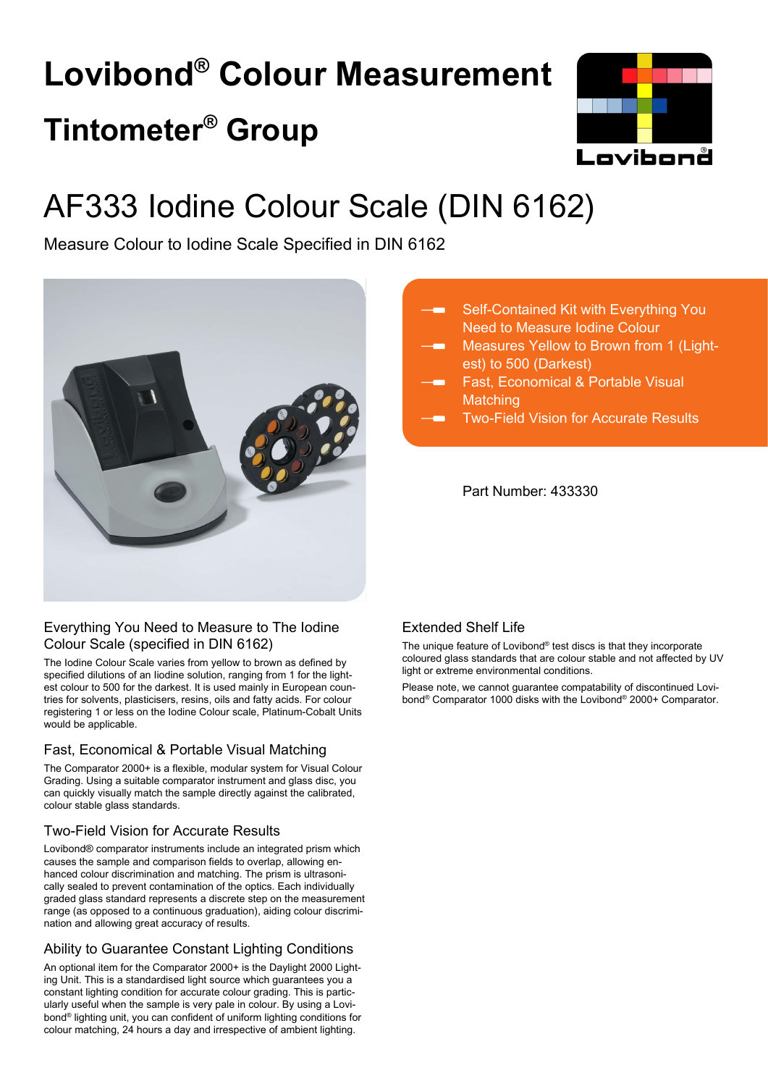# **Lovibond® Colour Measurement Tintometer® Group**



## AF333 Iodine Colour Scale (DIN 6162)

Measure Colour to Iodine Scale Specified in DIN 6162



## Everything You Need to Measure to The Iodine Colour Scale (specified in DIN 6162)

The Iodine Colour Scale varies from yellow to brown as defined by specified dilutions of an Iiodine solution, ranging from 1 for the lightest colour to 500 for the darkest. It is used mainly in European countries for solvents, plasticisers, resins, oils and fatty acids. For colour registering 1 or less on the Iodine Colour scale, Platinum-Cobalt Units would be applicable.

## Fast, Economical & Portable Visual Matching

The Comparator 2000+ is a flexible, modular system for Visual Colour Grading. Using a suitable comparator instrument and glass disc, you can quickly visually match the sample directly against the calibrated, colour stable glass standards.

## Two-Field Vision for Accurate Results

Lovibond® comparator instruments include an integrated prism which causes the sample and comparison fields to overlap, allowing enhanced colour discrimination and matching. The prism is ultrasonically sealed to prevent contamination of the optics. Each individually graded glass standard represents a discrete step on the measurement range (as opposed to a continuous graduation), aiding colour discrimination and allowing great accuracy of results.

## Ability to Guarantee Constant Lighting Conditions

An optional item for the Comparator 2000+ is the Daylight 2000 Lighting Unit. This is a standardised light source which guarantees you a constant lighting condition for accurate colour grading. This is particularly useful when the sample is very pale in colour. By using a Lovibond® lighting unit, you can confident of uniform lighting conditions for colour matching, 24 hours a day and irrespective of ambient lighting.

- Self-Contained Kit with Everything You Need to Measure Iodine Colour
- Measures Yellow to Brown from 1 (Lightest) to 500 (Darkest)
- Fast, Economical & Portable Visual **Matching**
- Two-Field Vision for Accurate Results

Part Number: 433330

## Extended Shelf Life

The unique feature of Lovibond® test discs is that they incorporate coloured glass standards that are colour stable and not affected by UV light or extreme environmental conditions.

Please note, we cannot guarantee compatability of discontinued Lovibond® Comparator 1000 disks with the Lovibond® 2000+ Comparator.